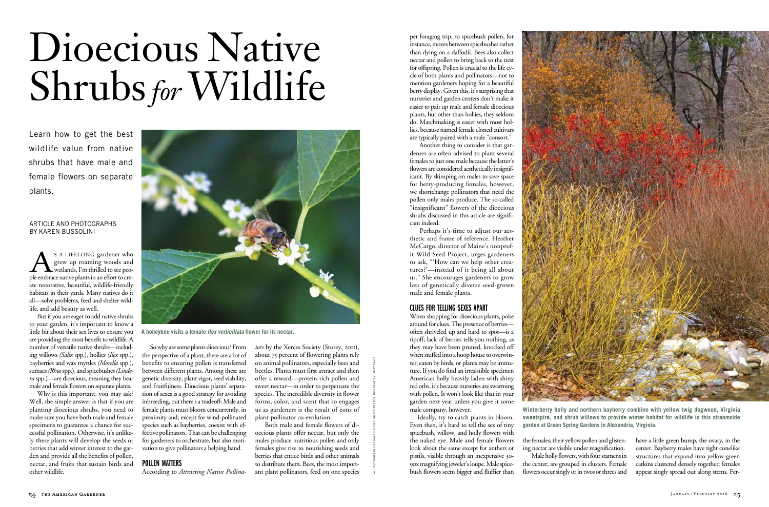per foraging trip; so spicebush pollen, for instance, moves between spicebushes rather than dying on a daffodil. Bees also collect nectar and pollen to bring back to the nest for offspring. Pollen is crucial to the life cycle of both plants and pollinators—not to mention gardeners hoping for a beautiful berry display. Given this, it's surprising that nurseries and garden centers don't make it easier to pair up male and female dioecious plants, but other than hollies, they seldom do. Matchmaking is easier with most hollies, because named female cloned cultivars are typically paired with a male "consort."

Perhaps it's time to adjust our aesthetic and frame of reference. Heather McCargo, director of Maine's nonprofit Wild Seed Project, urges gardeners to ask, "'How can we help other creatures?'—instead of it being all about us." She encourages gardeners to grow lots of genetically diverse seed-grown male and female plants.

Another thing to consider is that gardeners are often advised to plant several females to just one male because the latter's flowers are considered aesthetically insignificant. By skimping on males to save space for berry-producing females, however, we shortchange pollinators that need the pollen only males produce. The so-called "insignificant" flowers of the dioecious shrubs discussed in this article are significant indeed.

# CLUES for telling sexes apart

S A LIFELONG gardener who<br>grew up roaming woods and<br>wetlands, I'm thrilled to see peo-<br>ple embrace native plants in an effort to cregrew up roaming woods and wetlands, I'm thrilled to see people embrace native plants in an effort to create restorative, beautiful, wildlife-friendly habitats in their yards. Many natives do it all—solve problems, feed and shelter wildlife, and add beauty as well.

> When shopping for dioecious plants, poke around for clues. The presence of berries often shriveled up and hard to spot—is a tipoff; lack of berries tells you nothing, as they may have been pruned, knocked off when stuffed into a hoop house to overwinter, eaten by birds, or plants may be immature. If you do find an irresistible specimen American holly heavily laden with shiny red orbs, it's because nurseries are swarming with pollen. It won't look like that in your garden next year unless you give it some male company, however.

Ideally, try to catch plants in bloom. Even then, it's hard to tell the sex of tiny spicebush, willow, and holly flowers with the naked eye. Male and female flowers look about the same except for anthers or pistils, visible through an inexpensive 30- 90x magnifying jeweler's loupe. Male spicebush flowers seem bigger and fluffier than

22 the American Cheroice of the Cooling to America Cheroice in the America Cheroice in the America Cheroice in the America Cheroice in the America Cheroice in the Cheroice of the Cheroice in the Cheroice in the Cheroice i So why are some plants dioecious? From the perspective of a plant, there are a lot of benefits to ensuring pollen is transferred between different plants. Among these are genetic diversity, plant vigor, seed viability, and fruitfulness. Dioecious plants' separation of sexes is a good strategy for avoiding inbreeding, but there's a tradeoff: Male and female plants must bloom concurrently, in proximity and, except for wind-pollinated species such as bayberries, coexist with effective pollinators. That can be challenging for gardeners to orchestrate, but also motivation to give pollinators a helping hand.

## POLLEN MATTERS

the females; their yellow pollen and glistening nectar are visible under magnification. Male holly flowers, with four stamens in the center, are grouped in clusters. Female flowers occur singly or in twos or threes and



have a little green bump, the ovary, in the center. Bayberry males have tight conelike structures that expand into yellow-green catkins clustered densely together; females appear singly spread out along stems. Fer-

But if you are eager to add native shrubs to your garden, it's important to know a little bit about their sex lives to ensure you are providing the most benefit to wildlife. A number of versatile native shrubs—including willows *(Salix* spp.), hollies *(Ilex* spp.), bayberries and wax myrtles *(Morella* spp.), sumacs *(Rhus* spp.), and spicebushes *(Lindera* spp.)—are dioecious, meaning they bear male and female flowers on separate plants.

Why is this important, you may ask? Well, the simple answer is that if you are planting dioecious shrubs, you need to make sure you have both male and female specimens to guarantee a chance for successful pollination. Otherwise, it's unlikely these plants will develop the seeds or berries that add winter interest to the garden and provide all the benefits of pollen, nectar, and fruits that sustain birds and other wildlife.

According to *Attracting Native Pollina-*

*tors* by the Xerces Society (Storey, 2011), about 75 percent of flowering plants rely on animal pollinators, especially bees and beetles. Plants must first attract and then offer a reward—protein-rich pollen and sweet nectar—in order to perpetuate the species. The incredible diversity in flower forms, color, and scent that so engages us as gardeners is the result of eons of plant-pollinator co-evolution.

Both male and female flowers of dioecious plants offer nectar, but only the males produce nutritious pollen and only females give rise to nourishing seeds and berries that entice birds and other animals to distribute them. Bees, the most important plant pollinators, feed on one species

# Dioecious Native Shrubs *for* Wildlife

#### article and photographs by karen Bussolini

Learn how to get the best wildlife value from native shrubs that have male and female flowers on separate plants.

> **Winterberry holly and northern bayberry combine with yellow twig dogwood, Virginia sweetspire, and shrub willows to provide winter habitat for wildlife in this streamside garden at Green Spring Gardens in Alexandria, Virginia.**



**A honeybee visits a female** *Ilex verticillata* **flower for its nectar.**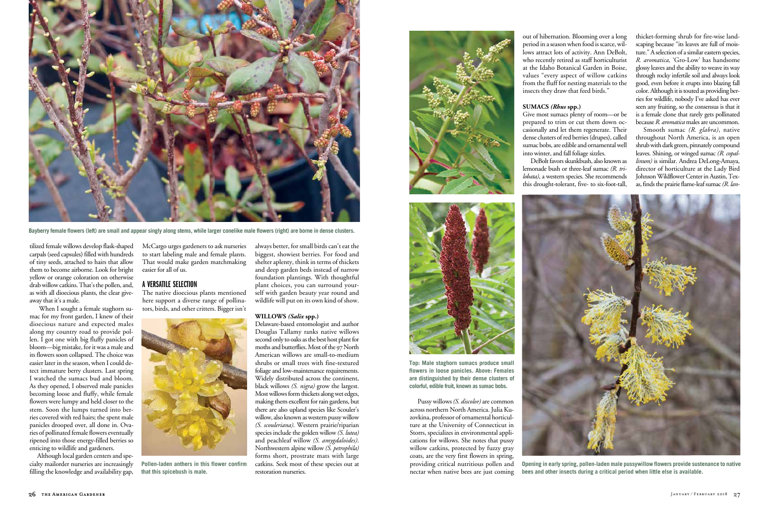Pussy willows *(S. discolor)* are common across northern North America. Julia Kuzovkina, professor of ornamental horticulture at the University of Connecticut in Storrs, specializes in environmental applications for willows. She notes that pussy willow catkins, protected by fuzzy gray coats, are the very first flowers in spring, providing critical nutritious pollen and nectar when native bees are just coming out of hibernation. Blooming over a long period in a season when food is scarce, willows attract lots of activity. Ann DeBolt, who recently retired as staff horticulturist at the Idaho Botanical Garden in Boise, values "every aspect of willow catkins from the fluff for nesting materials to the insects they draw that feed birds."

#### **Sumacs** *(Rhus* **spp.)**

Give most sumacs plenty of room—or be prepared to trim or cut them down occasionally and let them regenerate. Their dense clusters of red berries (drupes), called sumac bobs, are edible and ornamental well into winter, and fall foliage sizzles.

DeBolt favors skunkbush, also known as lemonade bush or three-leaf sumac *(R. trilobata)*, a western species. She recommends this drought-tolerant, five- to six-foot-tall, thicket-forming shrub for fire-wise landscaping because "its leaves are full of moisture." A selection of a similar eastern species, *R. aromatica,* 'Gro-Low' has handsome glossy leaves and the ability to weave its way through rocky infertile soil and always look good, even before it erupts into blazing fall color. Although it is touted as providing berries for wildlife, nobody I've asked has ever seen any fruiting, so the consensus is that it is a female clone that rarely gets pollinated because *R. aromatica* males are uncommon.

Smooth sumac *(R. glabra)*, native throughout North America, is an open shrub with dark green, pinnately compound leaves. Shining, or winged sumac *(R. copallinum)* is similar. Andrea DeLong-Amaya, director of horticulture at the Lady Bird Johnson Wildflower Center in Austin, Texas, finds the prairie flame-leaf sumac *(R. lan-*

tilized female willows develop flask-shaped carpals (seed capsules) filled with hundreds of tiny seeds, attached to hairs that allow them to become airborne. Look for bright yellow or orange coloration on otherwise drab willow catkins. That's the pollen, and, as with all dioecious plants, the clear giveaway that it's a male.

When I sought a female staghorn sumac for my front garden, I knew of their dioecious nature and expected males along my country road to provide pollen. I got one with big fluffy panicles of bloom—big mistake, for it was a male and its flowers soon collapsed. The choice was easier later in the season, when I could detect immature berry clusters. Last spring I watched the sumacs bud and bloom. As they opened, I observed male panicles becoming loose and fluffy, while female flowers were lumpy and held closer to the stem. Soon the lumps turned into berries covered with red hairs; the spent male panicles drooped over, all done in. Ovaries of pollinated female flowers eventually ripened into those energy-filled berries so enticing to wildlife and gardeners.

Although local garden centers and specialty mailorder nurseries are increasingly filling the knowledge and availability gap,

McCargo urges gardeners to ask nurseries to start labeling male and female plants. That would make garden matchmaking easier for all of us.

### a versatile selection

The native dioecious plants mentioned here support a diverse range of pollinators, birds, and other critters. Bigger isn't always better, for small birds can't eat the biggest, showiest berries. For food and shelter aplenty, think in terms of thickets and deep garden beds instead of narrow foundation plantings. With thoughtful plant choices, you can surround yourself with garden beauty year round and wildlife will put on its own kind of show.

#### **Willows** *(Salix* **spp.)**

Delaware-based entomologist and author Douglas Tallamy ranks native willows second only to oaks as the best host plant for moths and butterflies. Most of the 97 North American willows are small-to-medium shrubs or small trees with fine-textured foliage and low-maintenance requirements. Widely distributed across the continent, black willows *(S. nigra)* grow the largest. Most willows form thickets along wet edges, making them excellent for rain gardens, but there are also upland species like Scouler's willow, also known as western pussy willow *(S. scouleriana)*. Western prairie/riparian species include the golden willow *(S. lutea)* and peachleaf willow *(S. amygdaloides)*. Northwestern alpine willow *(S. petrophila)* forms short, prostrate mats with large catkins. Seek most of these species out at restoration nurseries.





**Pollen-laden anthers in this flower confirm that this spicebush is male.**



**Bayberry female flowers (left) are small and appear singly along stems, while larger conelike male flowers (right) are borne in dense clusters.**



**Top: Male staghorn sumacs produce small flowers in loose panicles. Above: Females are distinguished by their dense clusters of colorful, edible fruit, known as sumac bobs.**



**Opening in early spring, pollen-laden male pussywillow flowers provide sustenance to native bees and other insects during a critical period when little else is available.**